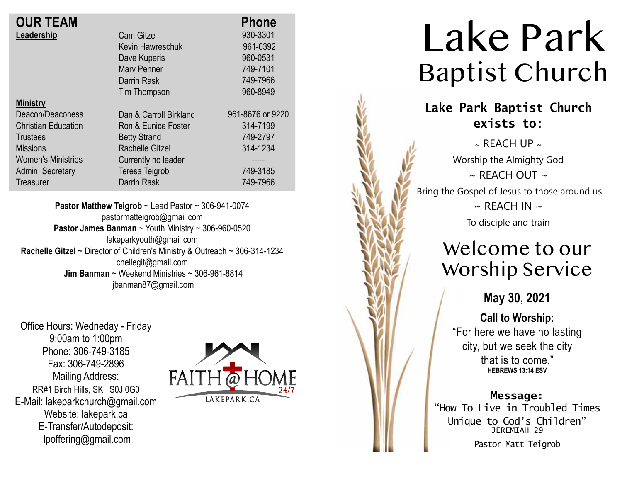| <b>OUR TEAM</b>            |                        | <b>Phone</b>     |
|----------------------------|------------------------|------------------|
| Leadership                 | <b>Cam Gitzel</b>      | 930-3301         |
|                            | Kevin Hawreschuk       | 961-0392         |
|                            | Dave Kuperis           | 960-0531         |
|                            | <b>Mary Penner</b>     | 749-7101         |
|                            | Darrin Rask            | 749-7966         |
|                            | Tim Thompson           | 960-8949         |
| <b>Ministry</b>            |                        |                  |
| Deacon/Deaconess           | Dan & Carroll Birkland | 961-8676 or 9220 |
| <b>Christian Education</b> | Ron & Eunice Foster    | 314-7199         |
| <b>Trustees</b>            | <b>Betty Strand</b>    | 749-2797         |
| <b>Missions</b>            | <b>Rachelle Gitzel</b> | 314-1234         |
| <b>Women's Ministries</b>  | Currently no leader    |                  |
| Admin. Secretary           | Teresa Teigrob         | 749-3185         |
| Treasurer                  | Darrin Rask            | 749-7966         |

**Pastor Matthew Teigrob** ~ Lead Pastor ~ 306-941-0074 pastormatteigrob@gmail.com **Pastor James Banman** ~ Youth Ministry ~ 306-960-0520 lakeparkyouth@gmail.com **Rachelle Gitzel** ~ Director of Children's Ministry & Outreach ~ 306-314-1234 chellegit@gmail.com  **Jim Banman** ~ Weekend Ministries ~ 306-961-8814 jbanman87@gmail.com

Office Hours: Wedneday - Friday 9:00am to 1:00pm Phone: 306-749-3185 Fax: 306-749-2896 Mailing Address: RR#1 Birch Hills, SK S0J 0G0 E-Mail: lakeparkchurch@gmail.com Website: lakepark.ca E-Transfer/Autodeposit: lpoffering@gmail.com



# Lake Park Baptist Church

### **Lake Park Baptist Church exists to:**

 $\sim$  RFACH UP  $\sim$ Worship the Almighty God  $\sim$  REACH OUT  $\sim$ Bring the Gospel of Jesus to those around us  $\sim$  REACH IN  $\sim$ To disciple and train

# Welcome to our Worship Service

**May 30, 2021**

**Call to Worship:**

"For here we have no lasting city, but we seek the city that is to come." **HEBREWS 13:14 ESV**

#### **Message:**

"How To Live in Troubled Times Unique to God's Children" JEREMIAH 29

Pastor Matt Teigrob